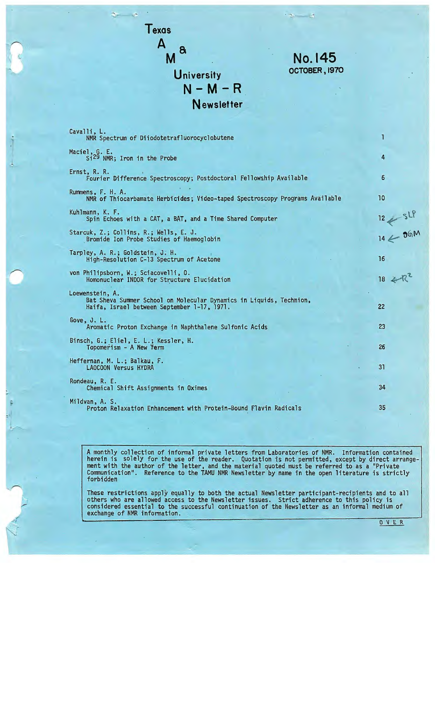

# **No.145 OCTOBER , 1970**

**Newsletter** 

| Cavalli, L.<br>NMR Spectrum of Diiodotetrafluorocyclobutene                                                                           |                                    |
|---------------------------------------------------------------------------------------------------------------------------------------|------------------------------------|
| Maciel, G. E.<br>Si <sup>29</sup> NMR; Iron in the Probe                                                                              | 4                                  |
| Ernst, R. R.<br>Fourier Difference Spectroscopy; Postdoctoral Fellowship Available                                                    | 6                                  |
| Rummens, F. H. A.<br>NMR of Thiocarbamate Herbicides; Video-taped Spectroscopy Programs Available                                     | 10                                 |
| Kuhlmann, K. F.<br>Spin Echoes with a CAT, a BAT, and a Time Shared Computer                                                          |                                    |
| Starcuk, Z.; Collins, R.; Wells, E. J.<br>Bromide Ion Probe Studies of Haemoglobin                                                    | $12 \nless 5LP$<br>$14 \nless 36M$ |
| Tarpley, A. R.; Goldstein, J. H.<br>High-Resolution C-13 Spectrum of Acetone                                                          | 16                                 |
| von Philipsborn, W.; Sciacovelli, O.<br>Homonuclear INDOR for Structure Elucidation                                                   | 18Z                                |
| Loewenstein, A.<br>Bat Sheva Summer School on Molecular Dynamics in Liquids, Technion,<br>Haifa, Israel between September 1-17, 1971. | 22                                 |
| Gove, J. L.<br>Aromatic Proton Exchange in Naphthalene Sulfonic Acids                                                                 | 23                                 |
| Binsch, G.; Eliel, E. L.; Kessler, H.<br>Topomerism - A New Term                                                                      | 26                                 |
| Heffernan, M. L.; Balkau, F.<br><b>LAOCOON Versus HYDRA</b>                                                                           | 31                                 |
| Rondeau, R. E.<br>Chemical Shift Assignments in Oximes                                                                                | 34                                 |
| Mildvan, A. S.<br>Proton Relaxation Enhancement with Protein-Bound Flavin Radicals                                                    | 35                                 |

A monthly collection of informal private letters from Laboratories of NMR. Information contained herein is solely for the use of the reader. Quotation is not permitted, except by direct arrange-<br>ment with the author of the letter, and the material quoted must be referred to as a "Private ment with the author of the letter, and the material quoted must be referred to as a "Private<br>Communication". Reference to the TAMU NMR Newsletter by name in the open literature is strictly<br>forbidden

These restrictions apply equally to both the actual Newsletter participant-recipients and to all others who are allowed access to the Newsletter issues. Strict adherence to this policy is considered essential to the successful continuation of the Newsletter as an informal medium of exchange of NMR information .

r *(*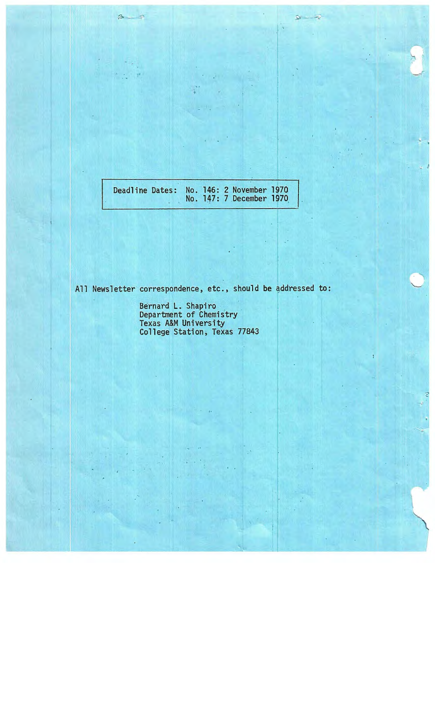.<br>Deadline Dates: No. 146: 2 November 1970 No. 147: 7 December 1970<sub>,</sub>

 $S^*$ 

m

 $3 - 3$ 

All Newsletter correspondence, etc., should be addressed to:

Bernard L. Shapiro<br>Department of Chemistry<br>Texas A&M University College Station, Texas 77843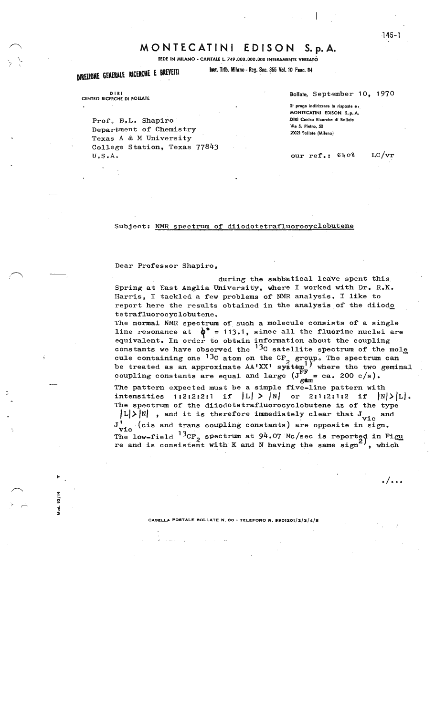# **MONTECATINI EDISON S. p. A.**

SEDE IN MILANO - CAPITALE L. 749.000.000.000 INTERAMENTE VERSATO

# **D\REZIONE GENERALE RICERCHE E BREVEITI** laor. Trib. Milano - Reg. Soc. 355 Vol. 10 Fasc. 84

DIRI CENTRO RICERCHE DI BOLLATE

 $\bigcap$  $\cdot$   $\cdot$ *7* \

►

lod. 92/14

i,,

Prof. B.L. Shapiro Department of Chemistry Texas A & M University College Station, Texas 7784J U.S.A.

Bollate, September 10, 1970

SI • prega lndlrlzzare le rlsposte **e** , . MONTECATINI EDISON S. p. A. . DIRI Centro Rlcerche di Bollate Vie S. Pietro, 50 20021 **Bollate (Milano)** 

our ref.: 6408 LC/vr

# Subject: NMR spectrum of diiodotetrafluorocyclobutene

Dear Professor Shapiro,

during the sabbatical leave spent this. Spring at East Anglia University, where I worked with Dr. R.K. Harris, I tackled a few problems of NMR analysis. I like to report here the results obtained in the analysis of the diiodo tetrafluorocyclobutene.

The normal NMR spectrum of such a molecule consists of a single line resonance at  $\phi^* = 113.1$ , since all the fluorine nuclei are equivalent. In order to obtain information about the coupling constants we have observed the  $13c$  satellite spectrum of the mole cule containing one <sup>13</sup>C atom on the CF<sub>2</sub> group. The spectrum can - be treated as an approximate AA'XX' system  $\frac{1}{n}$  where the two geminal coupling constants are equal and large  $(J_{\text{gem}}^{\text{FF}} = ca. 200 \text{ c/s}).$ The pattern expected must be a simple five-line pattern with intensities 1:2:2:2:1 if  $|L| > |N|$  or 2:1:2:1:2 if  $|N| > |L|$ . The spectrum of the diiodotetrafluorocyclobutene is of the type  $|L|$  ) $|N|$  , and it is therefore immediately clear that  $J_{\text{vic}}$  and  $J'_{\text{vic}}$  (cis and trans coupling constants) are opposite in sign. Vic  $\frac{13}{2}$  spectrum at  $94.07$  Mc/sec is reported in Figure re and is consistent with K and N having the same sign<sup>2</sup>), which

• *I •••*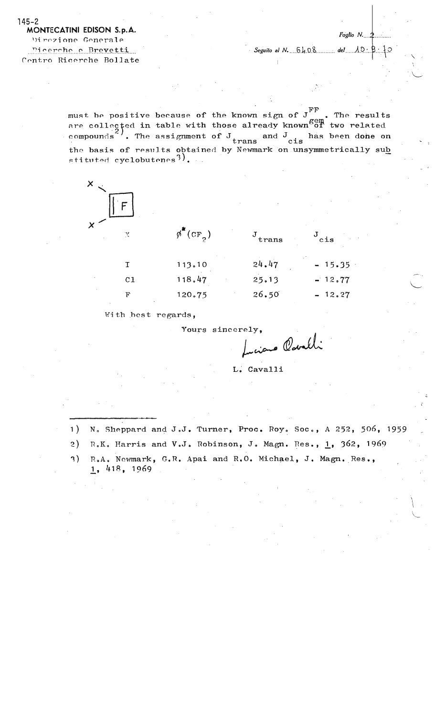#### $145 - 2$

MONTECATINI EDISON S.p.A.

Direzione Generale Picerche e Brevetti Centro Ricerche Bollate

Foglio  $N.$   $2$ 

Seguilo al  $N_{\bullet}$   $\ldots$   $5\downarrow$  0.8 .........  $del_{1}$   $\Lambda$  .

must be positive because of the known sign of  $J<sup>FF</sup>$ . The results are collected in table with those already known of two related compounds<sup>2)</sup>. The assignment of  $J_{trans}$  and  $J_{cis}$  has been done on the basis of results obtained by Newmark on unsymmetrically sub stituted cyclobutenes<sup>3)</sup>.

| $\times$ |    |                             |                      |               |
|----------|----|-----------------------------|----------------------|---------------|
|          | X  | $\phi^*$ (CF <sub>2</sub> ) | $\mathbf J$<br>trans | $J_{\rm cis}$ |
|          | т  | 113.10                      | 24.47                | 15.35         |
|          | C1 | 118.47                      | 25.13                | $-12.77$      |
|          | F  | 120.75                      | 26.50                | 12.27         |
|          |    |                             |                      |               |

With best regards,

Yours sincerely,

fucions Cavalli

L. Cavalli

N. Sheppard and J.J. Turner, Proc. Roy. Soc., A 252, 506, 1959  $1)$  $2)$ R.K. Harris and V.J. Robinson, J. Magn. Res., 1, 362, 1969

 $\mathcal{E}$ R.A. Newmark, G.R. Apai and R.O. Michael, J. Magn. Res., 1, 418, 1969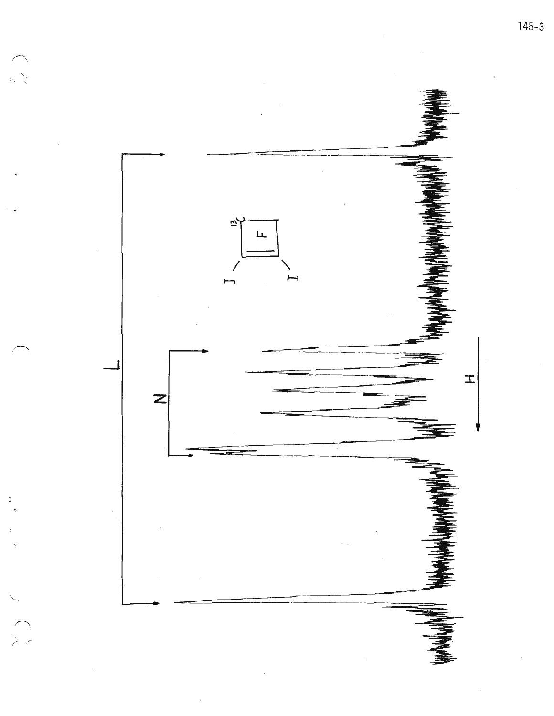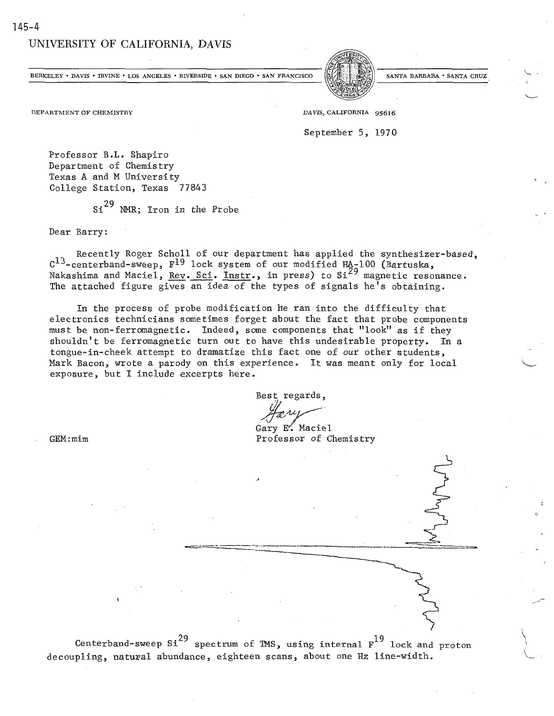# UNIVERSITY OF CALIFORNIA, DAVIS

BERKELEY • DAVIS • IRVINE • LOS ANGELES • RIVERSIDE • SAN DIEGO • SAN FRANCISCO (  $\frac{|\mathcal{L}|}{|\mathcal{L}|}$  santa Barbara • SANTA CRUZ



 $\overline{\phantom{a}}$ 

DAVIS, CALIFORNIA 95616

September 5, 1970

Professor B.L. Shapiro Department of Chemistry Texas A and M University College Station, Texas 77843

Si29 NMR; Iron in the Probe

Dear Barry:

DEPARTMENT OF CHEMISTRY

Recently Roger Scholl of our department has applied the synthesizer-based,  $c^{13}$ -centerband-sweep,  $F^{19}$  lock system of our modified HA-100 (Bartuska, Nakashima and Maciel, <u>Rev. Sci</u>. Instr., in press) to Si<sup>29</sup> magnetic resonance. The attached figure gives an idea of the types of signals he's obtaining.

In the process of probe modification he ran into the difficulty that electronics technicians sometimes forget about the fact that probe components must be non-ferromagnetic. Indeed, some components that "look" as if they shouldn't be ferromagnetic turn out to have this undesirable property. In a tongue-in-cheek attempt to dramatize this fact one of our other students, Mark Bacon, wrote a parody on this experience. It was meant only for local exposure, but I include excerpts here.

Best regards, /

*u~·* **/u \_\_ .,** Gary **E<** Maciel GEM:mim Professor of Chemistry

Centerband-sweep **Si29** spectrum of TMS, using internal F19 lock and proton decoupling, natural abundance, eighteen scans, about one Hz line-width.

يتم  $\lambda$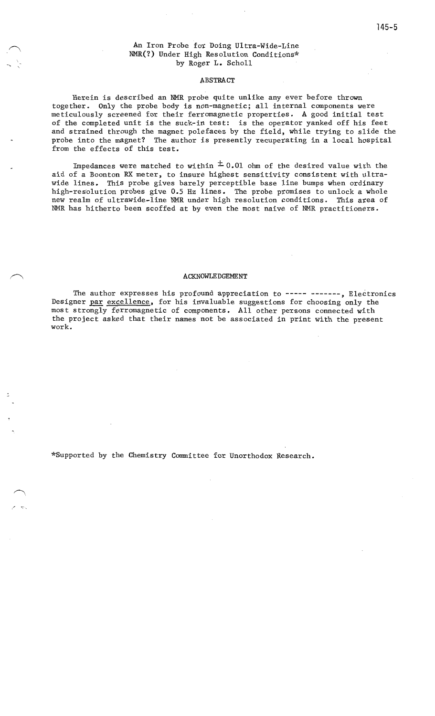### An Iron Probe for Doing Ultra-Wide-Line NMR(?) Under High Resolution Conditions\* by Roger L. Scholl

#### ABSTRACT

Herein is described an NMR probe quite unlike any ever before thrown together. Only the probe body is non-magnetic; all internal components were meticulously screened for their ferromagnetic properties. A good initial test of the completed unit is the suck-in test: is the operator yanked off his feet and strained through the magnet polefaces by the field, while trying to slide the probe into the magnet? The author is presently recuperating in a local hospital from the effects of this test.

Impedances were matched to within  $\pm$  0.01 ohm of the desired value with the aid of a Boonton RX meter, to insure highest sensitivity consistent with ultrawide lines. This probe gives barely perceptible base line bumps when ordinary high-resolution probes give 0.5 Hz lines. The probe promises to unlock a whole new realm of ultrawide-line NMR under high resolution conditions. This area of NMR has hitherto been scoffed at by even the most naive of NMR practitioners.

#### ACKNOWLEDGEMENT

The author expresses his profound appreciation to ----- -------, Electronics Designer par excellence, for his invaluable suggestions for choosing only the most strongly ferromagnetic of components. All other persons connected with the project asked that their names not be associated in print with the present work.

\*Supported by the Chemistry Connnittee for Unorthodox Research.

".

 $\bigcap$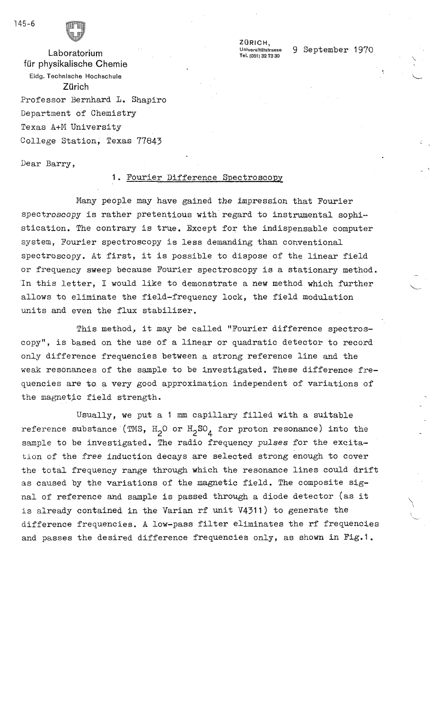145-6



L.aboratorium für physikalische Chemie Eidg. Technlsche Hochschule Zürich Professor Bernhard L. Shapiro Department of Chemistry Texas A+M University College Station, Texas 77843

Dear Barry,

### 1. Fourier Difference Spectroscopy

Many people may have gained the impression that Fourier spectroscopy is rather pretentious with regard to instrumental sophi- stication. The contrary is true. Except for the indispensable computer system, Fourier spectroscopy is less demanding than conventional spectroscopy. At first, it is possible to dispose of the linear field or frequency sweep because Fourier spectroscopy is a stationary method. In this letter, I would like to demonstrate a new method which further allows to eliminate the field-frequency lock, the field modulation units and even the flux stabilizer.

This method, it may be called "Fourier difference spectroscopy", is based on the use of a linear or quadratic detector to record only difference frequencies between a strong reference line and the weak resonances of the sample to be investigated. These difference frequencies are to. a very good approximation independent of variations of the magnetic field strength.

Usually, we put a 1 mm capillary filled with a suitable reference substance (TMS,  $H_2$ O or  $H_2$ SO<sub>4</sub> for proton resonance) into the sample to be investigated. The radio frequency pulses for the excita*tion* of the free induction decays are selected strong enough to cover the total frequency range through which the resonance lines could drift as caused by the variations of the magnetic field. The composite sig- nal of reference and sample is passed through a diode detector (as it is already contained in the Varian rf unit V4311) to generate the difference frequencies. A low-pass filter eliminates the rf frequencies and passes the desired difference frequencies only, as shown in Fig.1.

**ZÜRICH**,<br>Universitätstrasse Tel. (051) 32 73 30

9 September 1970

 $\langle - \rangle$ 

 $\Delta$ L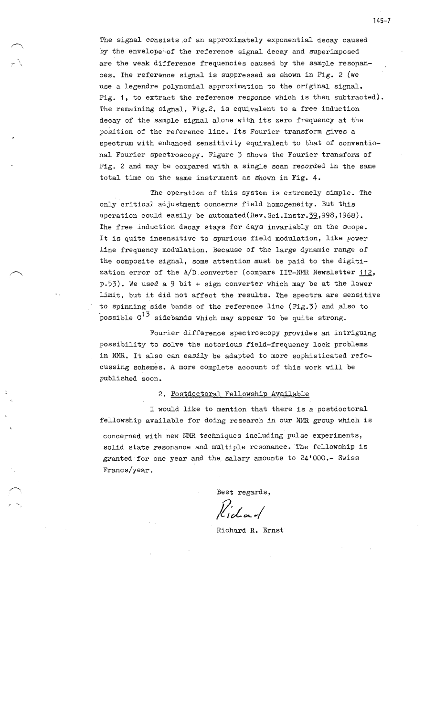The signal consists .of an approximately exponential decay caused by the envelope of the reference signal decay and superimposed are the weak difference frequencies caused by the sample resonances. The reference signal is suppressed as shown in Fig. 2 (we use a legendre polynomial approximation to the original signal, Fig. 1, to extract the reference response which is then subtracted). The remaining signal, Fig.2, is equivalent to a free induction decay of the sample signal alone with its zero frequency at the position of the reference line. Its Fourier transform gives a spectrum with enhanced sensitivity equivalent to that of conventional Fourier spectroscopy. Figure 3 shows the Fourier transform of Fig. 2 and may be compared with a single scan recorded in the same total time on the same instrument as shown in Fig. 4.

 $\left| \right|$ 

*I* 

The operation of this system is extremely simple. The only critical adjustment concerns field homogeneity. But this operation could easily be automated (Rev. Sci. Instr. 39, 998, 1968). The free induction decay stays for days invariably on the scope. It is quite insensitive to spurious field modulation, like power line frequency modulation. Because of the large dynamic range of the composite signal, some attention must be paid to the digitization error of the  $A/D$  converter (compare IIT-NMR Newsletter  $112$ ,  $p.53$ ). We used a 9 bit + sign converter which may be at the lower limit, but it did not affect the results. The spectra are sensitive to spinning side bands of the reference line (Fig. 3) and also to possible  $c^{13}$  sidebands which may appear to be quite strong.

Fourier difference spectroscopy provides an intriguing possibility to solve the notorious field-frequency lock problems in NMR. It also can easily be adapted to more sophisticated refocussing schemes. A more complete account of this work will be published soon.

### 2. Postdoctoral Fellowship Available

I would like to mention that there is a postdoctoral fellowship available for doing research in our NMR group which is concerned with new NMR techniques including pulse experiments, solid state resonance and multiple resonance. The fellowship is granted for one year and the salary amounts to 24'000.- Swiss Francs/year.

Best regards,

Richard

Richard R. Ernst·

145-7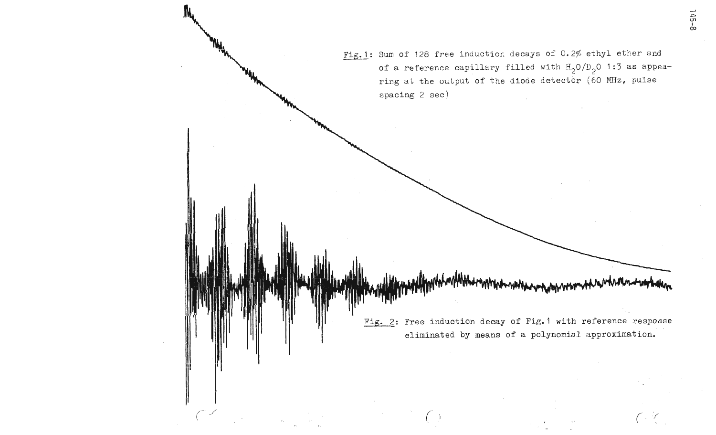Fig.1: Sum of 128 free induction decays of 0.2% ethyl ether and of a reference capillary filled with  $H_2O/D_2O$  1:3 as appearing at the output of the diode detector (60 MHz, pulse spacing 2 sec)

 $145 - 8$ 

the offertation of the complete of the complete and the selection of the selection

Fig. 2: Free induction decay of Fig.1 with reference response eliminated by means of a polynomial approximation.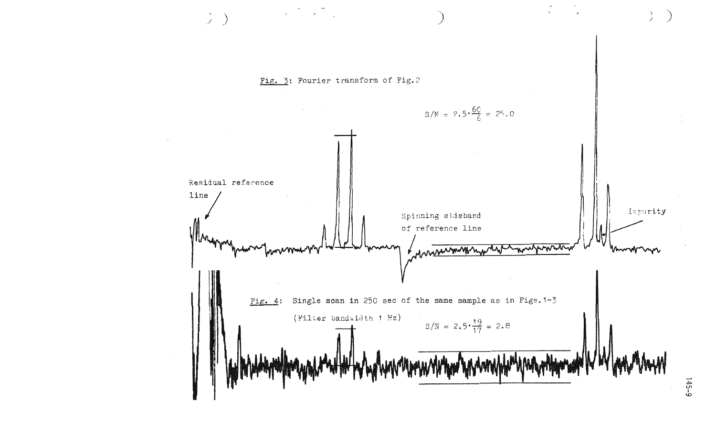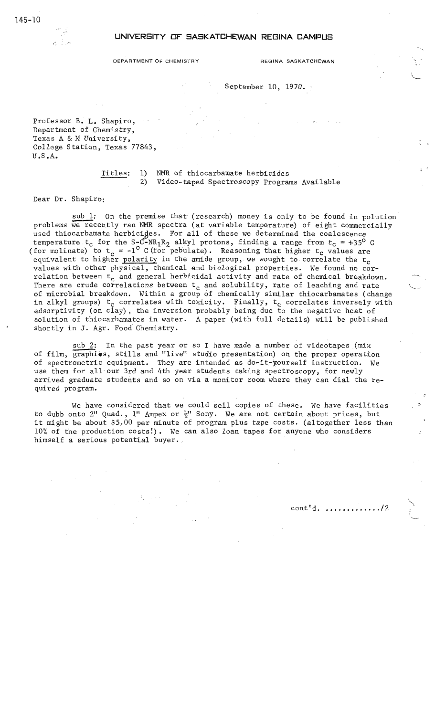#### UNIVERSITY OF SASKATCHEWAN REGINA CAMPUS

DEPARTMENT OF CHEMISTRY

REGINA SASKATCHEWAN

September 10, 1970.

Professor B. L. Shapiro, Department of Chemistry, Texas A & M University, College Station, Texas 77843, U.S.A.

> Titles: 1) NMR of thiocarbamate herbicides 2) Video-taped Spectroscopy Programs Available

Dear Dr. Shapiro:

sub 1: On the premise that (research) money is only to be found in polution problems we recently ran NMR spectra (at variable temperature) of eight commercially used thiocarbamate herbicides. For all of these we determined the coalescence temperature t<sub>c</sub> for the S-C-NR<sub>1</sub>R<sub>2</sub> alkyl protons, finding a range from t<sub>c</sub> = +35<sup>o</sup> C ( for molinate) to  $t_c = -1$  ° C (for pebulate). Reasoning that higher  $t_c$  values are equivalent to higher polarity in the amide group, we sought to correlate the  $t_c$ values with other physical, chemical and biological properties. We found no correlation between  $t_c$  and general herbicidal activity and rate of chemical breakdown. There are crude correlations between  $t_c$  and solubility, rate of leaching and rate of microbial breakdown. Within a group of chemically similar thiocarbamates (change in alkyl groups)  $t_c$  correlates with toxicity. Finally,  $t_c$  correlates inversely with adsorptivity (on clay), the inversion probably being due to the negative heat of solution of thiocarbamates in water. A paper (with full details) will be published shortly in J. Agr. Food Chemistry.

sub 2: In the past year or so I have made a number of videotapes (mix of film, graphics, stills and "live" studio presentation) on the proper operation of spectrometric equipment. They are intended as do-it-yourself instruction. We use them for all our 3rd and 4th year students taking spectroscopy, for newly arrived graduate students and so on via a monitor room where they can dial the required program.

We have considered that we could sell copies of these. We have facilities to dubb onto 2" Quad., 1" Ampex or  $\frac{1}{2}$ " Sony. We are not certain about prices, but it might be about \$5.00 per minute of program plus tape costs. (altogether less than 10% of the production costs!). We can also loan tapes for anyone who considers himself a serious potential buyer. ,

cont'd.  $\dots\dots\dots\dots/2$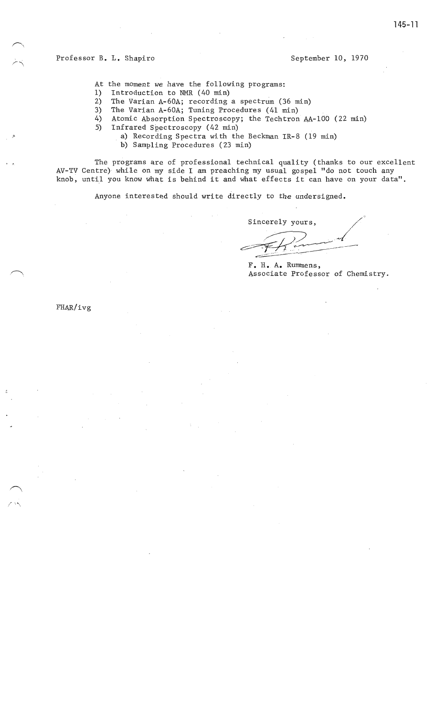#### Professor B. L. Shapiro September 10, 1970

At the moment we have the following programs:

- 1) Introduction to NMR (40 min)<br>2) The Varian A-60A; recording
- The Varian A-60A; recording a spectrum (36 min)
- 3) The Varian A-60A; Tuning Procedures (41 min)
- 4) Atomic Absorption Spectroscopy; the Techtron AA-100 (22 min)
- 5) Infrared Spectroscopy (42 min)
	- a) Recording Spectra with the Beckman IR-8 (19 min)
		- b) Sampling Procedures (23 min)

The programs are of professional technical quality (thanks to our excellent AV-TV Centre) while on my side I am preaching my usual gospel "do not touch any knob, until you know what is behind it and what effects it can have on your data".

Anyone interested should write directly to the undersigned.

Sincerely yours,

F. H. A. Rummens, Associate Professor of Chemistry.

FHAR/ivg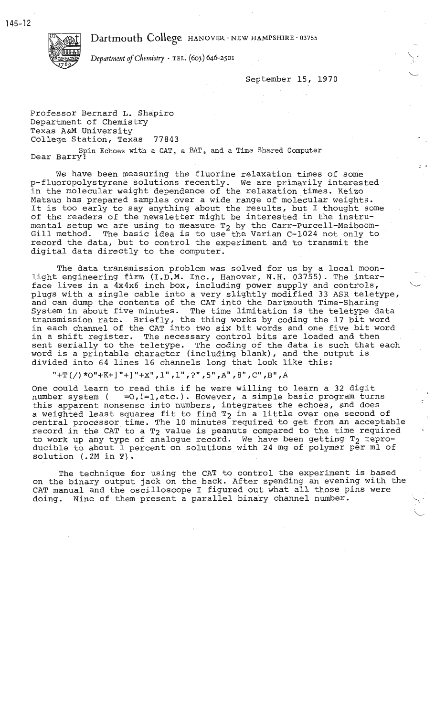Dartmouth College HANOVER · NEW HAMPSHIRE · 03755



*Department of Chemistry* · TEL. (603) 646-2501

September 15, 1970

Professor Bernard L. Shapiro Department of Chemistry Texas A&M University College Station, Texas 77843 Spin Echoes with a CAT, a BAT, and a Time Shared Computer Dear Barry:

We have been measuring the fluorine relaxation times of some p-fluoropolystyrene solutions recently. We are primarily interested in the molecular weight dependence of the relaxation times. Keizo Matsuo has prepared samples over a wide range of· molecular weights. It is too early to say anything about the results, but I thought some of the readers of the newsletter might be interested in the instrumental setup we are using to measure  $T_2$  by the Carr-Purcell-Meiboom-Gill method. The basic idea is to use the Varian C-1024 not only to record the data, but to control the experiment and to transmit the digital data directly to the computer.

The data transmission problem was solved for us by a local moonlight engineering firm (I.D.M. Inc., Hanover, N.H. 03755). The interface lives in a 4x4x6 inch box, including power supply and controls, plugs with a single cable into a very slightly modified 33 ASR teletype, and can dump the contents of the CAT into the Dartmouth Time-Sharing System in about five minutes. The time limitation is the teletype data transmission rate. Briefly, the thing works by coding the 17 bit word in each channel of the CAT into two six bit words and one five bit word in a shift register. The necessary control bits are loaded and then sent serially to the teletype. The coding of the data is such that each word is a printable character (including blank), and the output is divided into 64 lines 16 channels long that look like this:

"+T(/) \*O"+K+] "+] **"+X"** ,l" ,l" ,?" ,5" **,A" ,8"** ,C" ,B" ,A

One could learn to read this if he were willing to learn a 32 digit number system ( = O, != l, etc.). However, a simple basic program turns this apparent nonsense into numbers, integrates the echoes, and does a weighted least squares fit to find  $T_2$  in a little over one second of central processor time. The 10 minutes required to get from an acceptable record in the CAT to a T<sub>2</sub> value is peanuts compared to the time required to work up any type of analogue record. We have been getting  $T_2$  reproducible to about 1 percent on solutions with 24 mg of polymer per ml of solution (.2M in F).

The technique for using the CAT to control the experiment is based on the binary output jack on the back. After spending an evening with the CAT manual and the oscilloscope I figured out what all those pins were doing. Nine of them present a parallel binary channel number.

145-12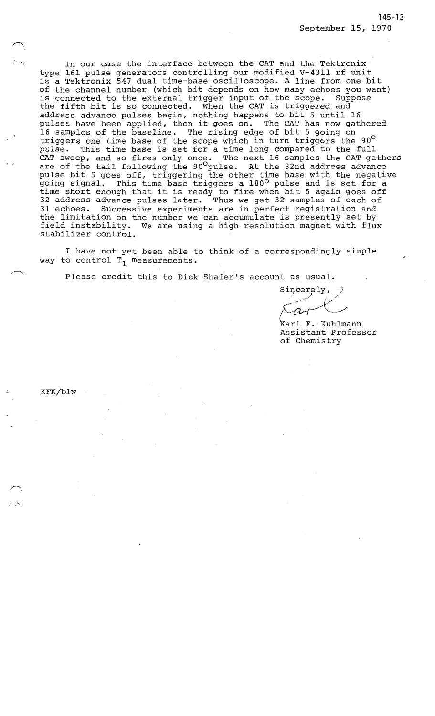In our case the interface between the CAT and the Tektronix type 161 pulse generators controlling our modified V-4311 rf unit is a Tektronix 547 dual time-base oscilloscope. A line from one bit of the channel number (which bit depends on how many echoes you want) is connected to the external trigger input of the scope. Suppose the fifth bit is so connected. When the CAT is triggered and address advance pulses begin, nothing happens to bit 5 until 16 pulses have been applied, then it goes on. The CAT has now gathered 16 samples of the baseline. The rising edge of bit 5 going on triggers one time base of the scope which in turn triggers the 90° pulse. This time base is set for a time long compared to the full CAT sweep, and so fires only once. The next 16 samples the CAT gathers are of the tail following the 90<sup>0</sup>pulse. At the 32nd address advance pulse bit. 5 goes off, triggering the other time base with the negative going signal. This time base triggers a 180° pulse and is set for a going signal. This time base triggers a 180° pulse and is set for a<br>time short enough that it is ready to fire when bit 5 again goes off 21 address advance pulses later. Thus we get 32 samples of each of 31 echoes. Successive experiments are in perfect registration and the limitation on the number we can accumulate is presently set by field instability. We are using a high resolution magnet with flux stabilizer control.

I have not yet been able to think of a correspondingly simple way to control  $T_1$  measurements.

Please credit this to Dick Shafer's account as usual.

Sincerely,  $\prime$ 

 $\sqrt{a}$ 

Karl F. Kuhlmann Assistant Professor of Chemistry

**.KFK/blw**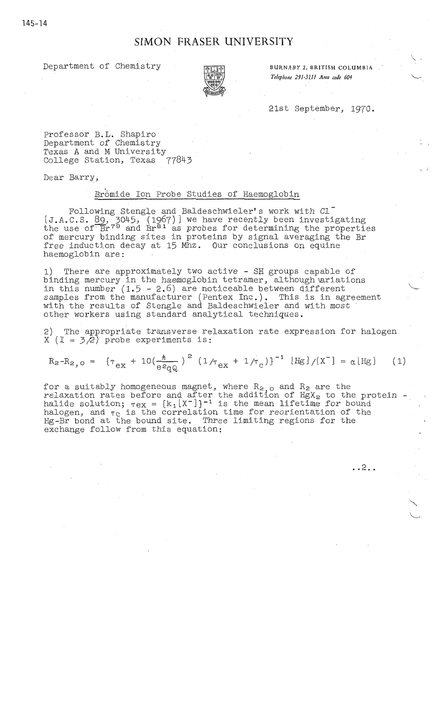**SIMON FRASER UNIVERSITY** 

Department of Chemistry



**BURNABY 2, BRITISH COLUMBIA** *Telephone 291-301 Area cotle 604* 

21st September, 1970.

 $.2.1$ 

Professor B.L. Shapiro Department of Chemistry Texas *A* and M University College Station, Texas 77843

Dear Barry,

# Bromide Ion Probe Studies of Haemoglobin

Following Stengle and Baldeschwieler's work with Cl  $[J.A.C.S. 89, 3045, (1967)]$  we have recently been investigating the use of  $Br^{79}$  and  $Br^{81}$  as probes for determining the properties of mercury binding sites in proteins by signal averaging the Br free induction decay at 15 Mhz. Our conclusions on equine haemoglobin are:

1) There are approximately two active - SH groups capable of binding mercury in the haemoglobin tetramer, although ariations in this number (1.5 - 2.6) are noticeable between different samples from the manufacturer (Pentex Inc.). This is in agreement with the results of Stengle and Baldeschwieler and with most<br>other workers using standard analytical techniques.

2) The appropriate transverse relaxation rate expression for halogen  $X (I = 3/2)$  probe experiments is:

$$
R_2 - R_2, o = \{ \tau_{ex} + 10(\frac{\hbar}{e^2 q Q})^2 (1/\tau_{ex} + 1/\tau_c) \}^{-1} [Hg]/[X^+] = \alpha [Hg]
$$
 (1)

for a suitably homogeneous magnet, where  $R_{2,0}$  and  $R_2$  are the protein -<br>relaxation rates before and after the addition of  $Hgx_2$  to the protein halide solution;  $\tau_{\text{ex}} = {\kappa_1[X^-]}^{-1}$  is the mean lifetime for bound halogen, and  $\tau_c$  is the correlation time for reorientation of the Hg-Br bond at the bound site. Three limiting regions for the exchange follow from this equation: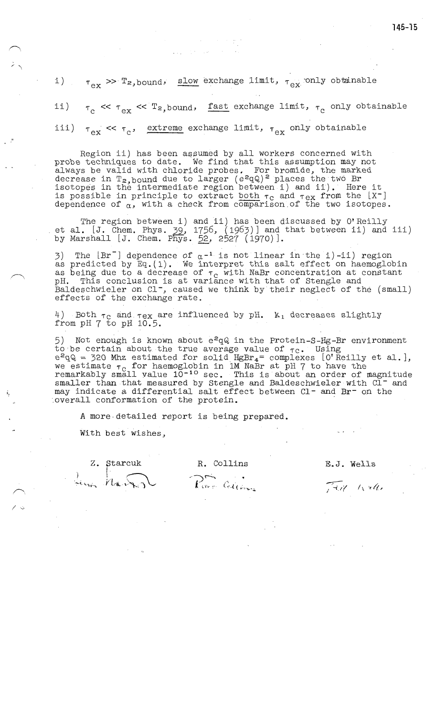**145-15** 

i)  $\tau_{\rm ex} \gg$  T<sub>2</sub>, bound, slow exchange limit,  $\tau_{\rm ex}$  only obtainable ii)  $\tau_c \ll \tau_{ex} \ll T_z$ , bound, <u>fast</u> exchange limit,  $\tau_c$  only obtainable iii)  $\tau_{\alpha x} \ll \tau_{c}$ , extreme exchange limit,  $\tau_{\alpha x}$  only obtainable

Region ii) has been assumed by all workers concerned with probe techniques to date. We find that this assumption may not always be valid with chloride probes. For bromide, the marked decrease in  $T_2$ , bound due to larger (e<sup>2</sup>qQ)<sup>2</sup> places the two Br isotopes in the intermediate region between i) and ii). Here it is possible in principle to extract both  $\tau_c$  and  $\tau_{ex}$  from the [X<sup>-</sup>] dependence of  $\alpha$ , with a check from comparison of the two isotopes.

The region between i) and ii) has been discussed by 0'Reilly et al.  $[J.$  Chem. Phys.  $\underline{39}$ ,  $1756$ ,  $(1963)$ ] and that between ii) and iii) by Marshall  $[J.$  Chem. Phys.  $\frac{52}{2}$ ,  $2527$   $(1970)$ ].

3) The [Br<sup>-</sup>] dependence of  $\alpha^{-1}$  is not linear in the i)-ii) region as predicted by Eq.  $(1)$ . We interpret this salt effect on haemoglobin as being due to a decrease of  $\tau_c$  with NaBr concentration at constant pH. This conclusion is at variance with that of Stengle and This conclusion is at variance with that of Stengle and Baldeschwieler on  $Cl^-$ , caused we think by their neglect of the (small) effects of the exchange rate.

4) Both  $r_c$  and  $r_{ex}$  are influenced by pH.  $k_1$  decreases slightly from  $pH 7$  to  $pH 10.5$ .

. . 5) Not enough is known about  $e^2 qQ$  in the Protein-S-Hg-Br environment to be certain about the true average value of  $\tau_c$ . Using  $e^2qQ = 320$  Mhz estimated for solid HgBr<sub>4</sub> = complexes [0' Reilly et al.], we estimate  $r_c$  for haemoglobin in 1M NaBr at pH 7 to have the remarkably small value  $10^{-10}$  sec. This is about an order of magnitude smaller than that measured by Stengle and Baldeschwieler with  $C\overline{1}^-$  and may indicate a differential salt effect between  $Cl^-$  and  $Br^-$  on the .overall conformation of the protein.

A more detailed report is being prepared.

With best wishes,

 $\sum_{i=1}^{K}$   $\sum_{i=1}^{K}$ 

 $\angle$   $\rightarrow$ 

R. Collins

 $\sum_{k}^{n}$  . Cities

E.J. Wells

Tril Wills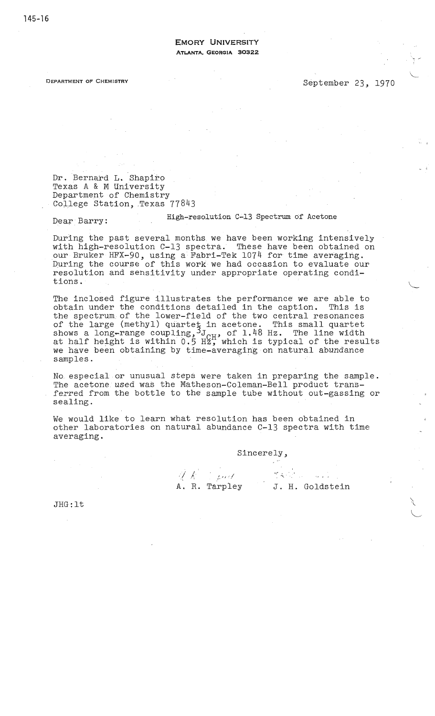**EMORY UNIVERSITY ATLANTA, GEORGIA 30322** 

DEPARTMENT OF CHEMISTRY SEPTEMBER 23, 1970

\..

 $\frac{1}{2}$ L

Dr. Bernard L. Shapiro Texas A & M University Department of Chemistry College Station, Texas 77843

Dear Barry: High-resolution C-13 Spectrum of Acetone

' . .

During the past several months we have been working intensively with high-resolution C-13 spectra. These have been obtained on our Bruker HFX-90, using a Fabri-Tek  $1074$  for time averaging. During the course of this work we had occasion to evaluate our resolution and sensitivity under appropriate operating conditions.

The inclosed figure illustrates the performance we are able to obtain under the conditions detailed in the caption. This is the spectrum of the lower-field of the two central resonances of the large (methyl) quartet in acetone. This small quartet<br>shows a long-range coupling,  $J_{CH}$ , of 1,48 Hz. The line width at half height is within 0.5 Hz, which is typical of the results we have been obtaining by time-averaging on natural abundance samples.

No especial or unusual steps were taken in preparing the sample. The acetone used was the Matheson-Coleman-Bell product transferred from the bottle to the sample tube without out-gassing or sealing.

We would like to learn what resolution has been obtained in other laboratories on natural abundance C-13 spectra with time averaging.

Sincerely,

. *,/ l* : . .' <sup>I</sup> .:· /  $\mathcal{L}_\mathrm{c}$  .  $\mathcal{L}_\mathrm{c}$  . A. R. Tarpley J. H. Goldstein

JHG:lt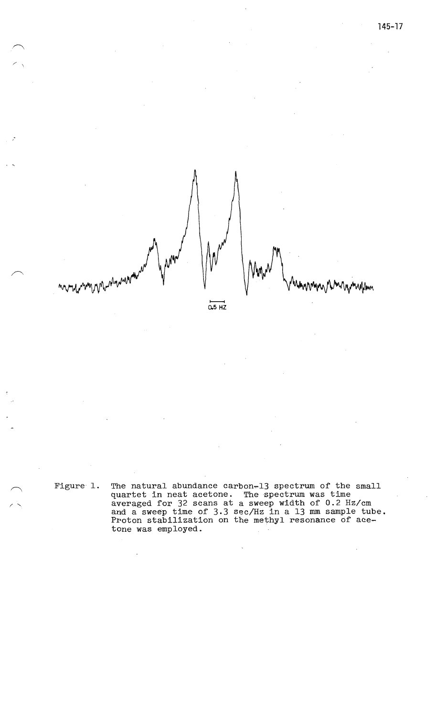~ **0.5 HZ** 

Figure 1. The natural abundance carbon-13 spectrum of the small quartet in neat acetone. The spectrum was time averaged for 32 scans at a sweep width of 0.2 Hz/cm and a sweep time of 3.3 sec/Hz in a 13 mm sample tube. Proton stabilization on the methyl resonance of acetone was employed.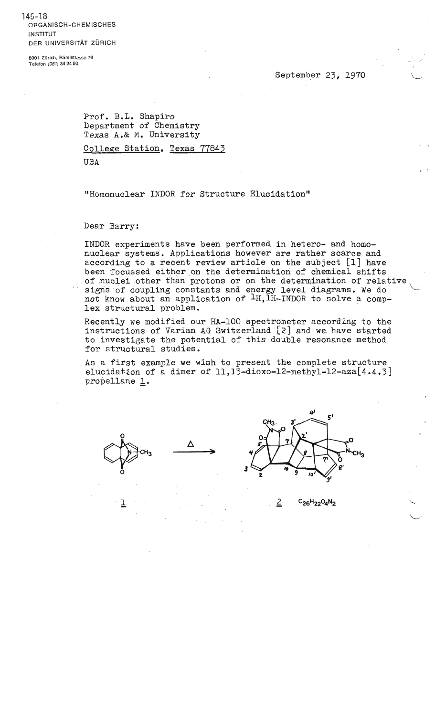145-18

ORGANISCH-CHEMISCHES INSTITUT DER UNIVERSITÄT ZÜRICH

8001 Zürich, Rämistrasse 76 Telefon (051)342450

September 23, 1970

Prof. B.L. Shapiro Department of Chemistry Texas A.& M. University

#### College Station, Texas 77843

USA

"Homonuclear INDOR for Structure Elucidation"

#### Dear Barry:

INDOR experiments have been performed in hetero- and homonuclear systems. Applications however are rather scarce and according to a recent review article on the subject  $[1]$  have been focussed either on the determination of chemical shifts of nuclei other than protons or on the determination of relative signs of coupling constants and energy level diagrams. We do not know about an application of  $L_H$ ,  $L_H$ -INDOR to solve a complex structural problem.

Recently we modified our HA-100 spectrometer according to the instructions of Varian AG Switzerland [2] and we have started to investigate the potential of this double resonance method for structural studies.

As a first example we wish to present the complete structure elucidation of a dimer of ll,13-dioxo-12-methyl-12-aza[4.4.3] propellane 1.





 $\overline{2}$  $C_{26}H_{22}O_4N_2$ 

 $\overline{\phantom{a}}$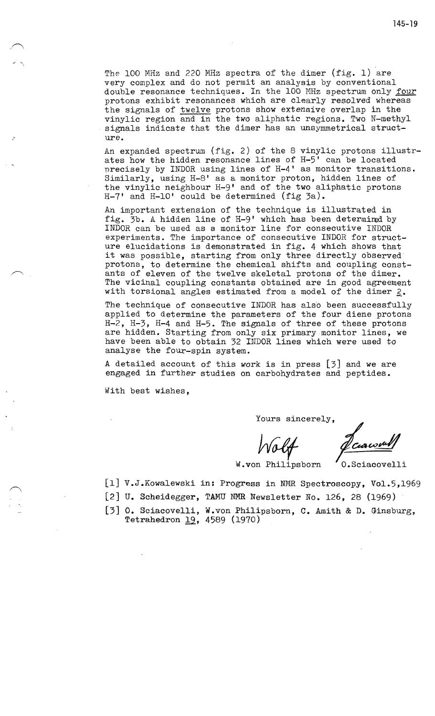The 100 MHz and 220 MHz spectra of the dimer (fig. 1) are very complex and do not permit an analysis by conventional double resonance techniques. In the 100 MHz spectrum only four protons exhibit resonances which are clearly resolved whereas the signals of twelve protons show extensive overlap in the vinylic region and in the two aliphatic regions. Two N-methyl signals indicate that the dimer has an unsymmetrical structure.

An expanded spectrum (fig. 2) of the 8 vinylic protons illustrates how the hidden resonance lines of H-5' can be located precisely by INDOR using lines of H-4' as monitor transitions. Similarly, using H-8' as a monitor proton, hidden lines of the vinylic neighbour H-9' and of the two aliphatic protons H-7' and H-10' could be determined (fig 3a).

An important extension of the technique is illustrated in fig. 3b. A hidden line of H-9' which has been determined by INDOR can be used as a monitor line for consecutive INDOR experiments. The importance of consecutive INDOR for structure elucidations is demonstrated in fig. 4 which shows that<br>it was possible, starting from only three directly observed protons, to determine the chemical shifts and coupling constants of eleven of the twelve skeletal protons of the dimer. The vicinal coupling constants obtained are in good agreement with torsional angles estimated from a model of the dimer  $2\cdot$ 

The technique of consecutive INDOR has also been successfully applied to determine the parameters of the four diene protons H-2, H-3, H-4 and H-5. The signals of three of these protons are hidden. Starting from only six primary monitor lines, we have been able to obtain 32 INDOR lines which were used to analyse the four-spin system.

A detailed account of this work is in press [3] and we are engaged in further studies on carbohydrates and peptides.

With best wishes,

 $\bigcap$  ,

Yours sincerely,

W.von Philipsborn <sup>'</sup> O.Sciacovelli

(l] V.J.Kowalewski in: Progress in NMR Spectroscopy, Vol.5,1969

[2] U. Scheidegger, TAMU NMR Newsletter No. 126, 28 (1969)

[3] O. Sciacovelli, W.von Philipsborn, C. Amith & D. Ginsburg, Tetrahedron  $19, 4589$  (1970)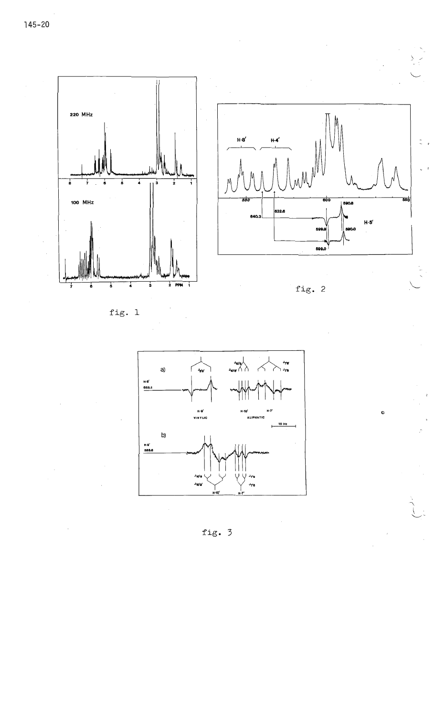

fig. 1



 $\mathbf C$ 

fig. 3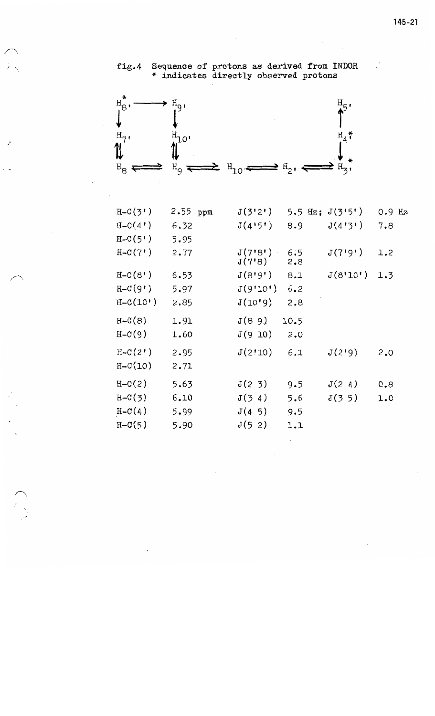fig.4 Sequence of protons as derived from INDOR \* indicates directly observed protons



 $\epsilon$ 

| $H-C(3)$   | $2.55$ ppm | J(3'2')           |            | 5.5 Hz; $J(3!5!)$ | $0.9$ Hz |
|------------|------------|-------------------|------------|-------------------|----------|
| $H-C(4)$   | 6.32       | J(4, 5!)          | 8.9        | J(4'3')           | 7.8      |
| $H-C(5')$  | 5.95       |                   |            |                   |          |
| $H-C(7)$   | 2.77       | J(7'8')<br>J(7'8) | 6.5<br>2.8 | J(7.9)            | 1.2      |
| $H-C(8)$   | 6.53       | J(8'9')           | 8.1        | J(8'10')          | 1.3      |
| $H-C(9')$  | 5.97       | J(9'10')          | 6.2        |                   |          |
| $H-C(10')$ | 2.85       | J(10'9)           | 2.8        |                   |          |
| $H-C(8)$   | 1.91       | J(89)             | 10.5       |                   |          |
| $H-C(9)$   | 1.60       | J(9, 10)          | 2.0        |                   |          |
| $H-C(2)$   | 2.95       | J(2!10)           | 6.1        | J(2, 9)           | 2.0      |
| $H-C(10)$  | 2.71       |                   |            |                   |          |
| $H - C(2)$ | 5.63       | J(2 3)            | 9.5        | J(2 4)            | 0.8      |
| $H-C(3)$   | 6.10       | J(34)             | 5.6        | J(3 5)            | 1.0      |
| $H-C(4)$   | 5.99       | J(4, 5)           | 9.5        |                   |          |
| $H-C(5)$   | 5.90       | J(5 2)            | 1.1        |                   |          |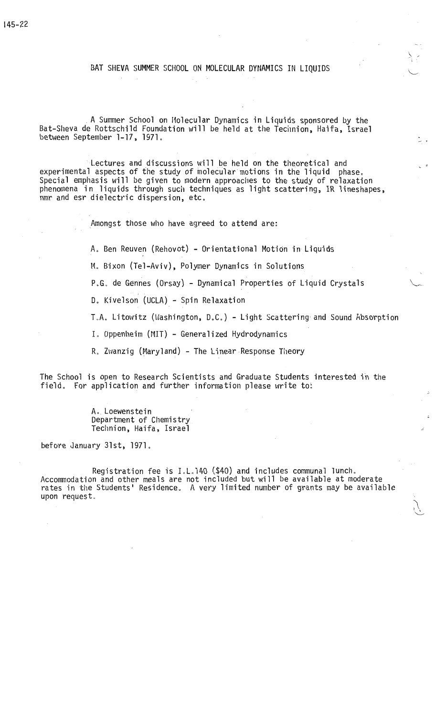### BAT SHEVA SUMMER SCHOOL ON MOLECULAR DYNAMICS IN LIQUIDS

 $\smallsmile$ 

. A Summer School on Molecular Dynamics in Liquids sponsored by the Bat-Sheva de Rottschild Foundation will be held at the Technion, Haifa, Israel between September 1-17, 1971 .

 Lectures and discussions will be held on the theoretical and experimental aspects of the study of molecular motions in the liquid phase. Special emphasis will be given to modern approaches to the study of relaxation phenomena in liquids through such techniques as light scattering, IR lineshapes, nmr and esr dielectric dispersion, etc.

Amongst those who have agreed to attend are:

A. Ben Reuven (Rehovot) - Orientational Motion in Liquids

M. Bixon (Tel-Aviv), Polymer Dynamics in Solutions

P .G., de Gerines (Orsay) - Dynamical Properties of Liquid Crystals

D. Kivelson (UCLA) - Spin Relaxation

T.A. Litowitz (Washington, D.C. ) - Light Scattering· and Sound Absorption

I. Oppenheim (MIT) - Generalized Hydrodynamics

R. Zwanzig (Maryland) - The Linear Response Theory

The School is open to Research Scientists and Graduate Students interested in the field. For application and further information please write to:

> A. Loewenstein Department of Chemistry<br>Technion, Haifa, Israel

before January 31st, 1971.

Registration fee is I.L. 140 (\$40) and includes communal lunch . Accommodation and other meals are not included but will be available at moderate rates in the Students' Residence. A very limited number of grants may be available upon request .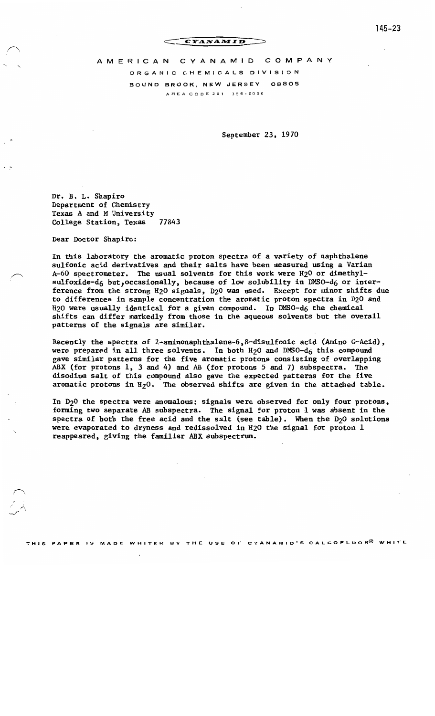145-23

#### $CYANAMID$

AMERICAN CYANAMID COMPANY ORGANIC CHEMICALS DIVISION BOUND BROOK, NEW JERSEY 08805 AR <sup>E</sup> A CODE 2 01 356- <sup>2</sup> <sup>0</sup> 00

September 23, 1970

Dr. B. L. Shapiro Department of Chemistry Texas A and M University College Station, Texas 77843

Dear Doctor Shapiro:

In this laboratory the aromatic proton spectra of a variety of naphthalene sulfonic acid derivatives and their salts have been measured using a Varian A-60 spectrometer. The usual solvents for this work were H<sub>2</sub>O or dimethylsulfoxide-d<sub>6</sub> but, occasionally, because of low solubility in DMSO-d<sub>6</sub> or interference from the strong H<sub>2</sub>O signals, D<sub>2</sub>O was used. Except for minor shifts due to differences in sample concentration the aromatic proton spectra in D20 and H20 were usually identical for a given compound. In DMSO-d6 the chemical shifts can differ markedly from those in the aqueous solvents but the overall patterns of the signals are similar.

Recently the spectra of 2-aminonaphthalene-6,8-disulfonic acid (Amino G-Acid), were prepared in all three solvents. In both  $H<sub>2</sub>O$  and DMSO-d<sub>6</sub> this compound gave similar patterns for the five aromatic protons consisting of overlapping<br>ABX (for protons 1, 3 and 4) and AB (for protons 5 and 7) subspectra. The ABX (for protons 1, 3 and 4) and AB (for protons 5 and 7) subspectra. disodium salt of this compound also gave the expected patterns for the five aromatic protons in  $H<sub>2</sub>O$ . The observed shifts are given in the attached table.

In D<sub>2</sub>0 the spectra were anomalous; signals were observed for only four protons, forming two separate AB subspectra. The signal for proton l was absent in the spectra of both the free acid and the salt (see table). When the  $D_2O$  solutions were evaporated to dryness and redissolved in H20 the signal for proton 1 reappeared, giving the familiar ABX subspectrum.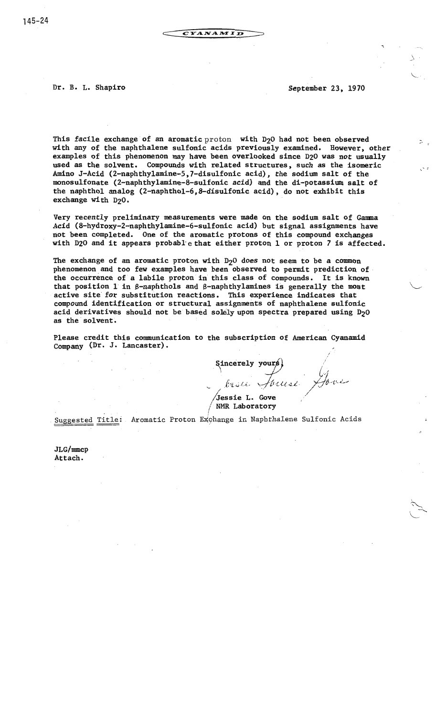#### Dr. B. L. Shapiro September 23, 1970

This facile exchange of an aromatic proton with  $D_2O$  had not been observed with any of the naphthalene sulfonic acids previously examined. However, other examples of this phenomenon may have been overlooked since D20 was not usually used as the solvent. Compounds with related structures, such as the isomeric Amino J-Acid (2-naphthylamine-5,7-disulfonic acid), the sodium salt of the monosulfonate (2-naphthylamine-8-sulfonic acid) and the di-potassium salt of the naphthol analog (2-naphthol-6,8-disulfonic acid), do not exhibit this exchange with D<sub>2</sub>0.

 $CYANAND$ 

Very recently preliminary measurements were made on the sodium salt of Gamna Acid (8-hydroxy-2-naphthylamine-6-sulfonic acid) but signal assignments have riot been completed. One of the aromatic protons of this compound exchanges with D20 and it appears probable that either proton 1 or proton 7 is affected.

The exchange of an aromatic proton with  $D<sub>2</sub>O$  does not seem to be a common phenomenon and too few examples have been observed to permit prediction of the occurrence of a labile proton in this class of compounds. It is known that position  $1$  in  $\beta$ -naphthols and  $\beta$ -naphthylamines is generally the most active site for substitution reactions. This experience indicates that compound identification or structural assignments of naphthalene sulfonic acid derivatives should not be based solely upon spectra prepared using D20 as the solvent.

Please credit this conununication to the subscription of American Cyanamid Company (Dr. J. Lancaster).

sincerely yours )

/4essie L. Gove */* NMR Laboratory

Suggested Title: Aromatic Proton Exchange in Naphthalene Sulfonic Acids

JLG/mmcp Attach.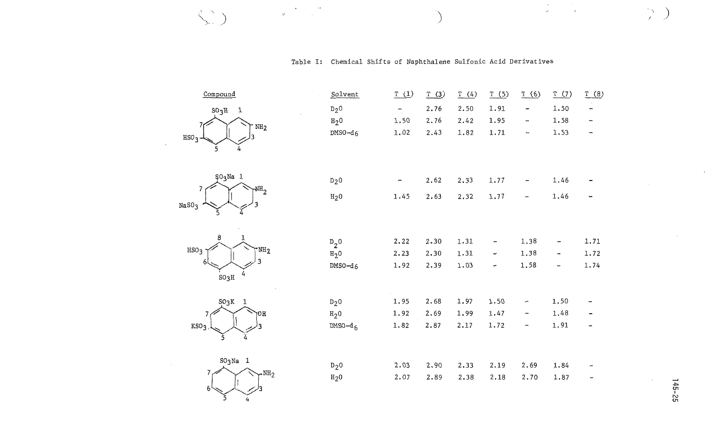

Table I: Chemical Shifts of Naphthalene Sulfonic Acid Derivatives

 $\left\langle \begin{array}{c} \lambda \\ \lambda \end{array} \right\rangle$ 

 $\bar{u}$ 

≒s<br>∧

 $\bar{\nu}$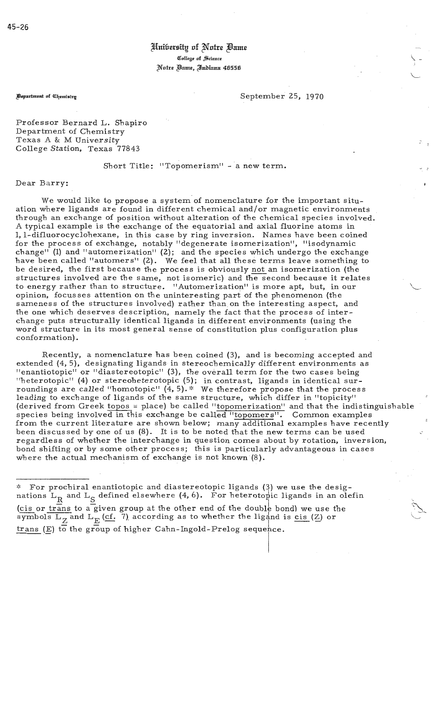Unibersity of Notre Bame College of Science Notre Bame, Indiana 46556

**Bepartment of Chemistry** 

September 25, 1970

Professor Bernard L. Shapiro Department of Chemistry Texas A & M University College Station, Texas 77843

Short Title: "Topomerism" - a new term.

Dear Barry:

We would like to propose a system of nomenclature for the important situation where ligands are found in different chemical and/or magnetic environments through an exchange of position without alteration of the chemical species involved. A typical example is the exchange of the equatorial and axial fluorine atoms in 1, 1-difluorocyclohexane, in this case by ring inversion. Names have been coined for the process of exchange, notably "degenerate isomerization", "isodynamic change" (1) and "automerization" (2); and the species which undergo the exchange have been called "automers" (2). We feel that all these terms leave something to be desired, the first because the process is obviously not an isomerization (the structures involved are the same, not isomeric) and the second because it relates to energy rather than to structure. "Automerization" is more apt, but, in our opinion, focusses attention on the uninteresting part of the phenomenon (the sameness of the structures involved) rather than on the interesting aspect, and the one which deserves description, namely the fact that the process of interchange puts structurally identical ligands in different environments (using the word structure in its most general sense of constitution plus configuration plus conformation).

Recently, a nomenclature has been coined (3), and is becoming accepted and extended (4, 5), designating ligands in stereochemically different environments as "enantiotopic" or "diastereotopic"  $(3)$ , the overall term for the two cases being "heterotopic" (4) or stereoheterotopic (5); in contrast, ligands in identical surroundings are called "homotopic"  $(4, 5)$ . \* We therefore propose that the process leading to exchange of ligands of the same structure, which differ in "topicity" (derived from Greek topos = place) be called "topomerization" and that the indistinguishable species being involved in this exchange be called "topomers". Common examples from the current literature are shown below; many additional examples have recently been discussed by one of us (8). It is to be noted that the new terms can be used regardless of whether the interchange in question comes about by rotation, inversion, bond shifting or by some other process; this is particularly advantageous in cases where the actual mechanism of exchange is not known  $(8)$ .

\* For prochiral enantiotopic and diastereotopic ligands (3) we use the designations  $L_R$  and  $L_S$  defined elsewhere (4, 6). For heterotopic ligands in an olefin (cis or trans to a given group at the other end of the double bond) we use the symbols  $L_Z$  and  $L_E$  (cf. 7) according as to whether the ligand is cis (Z) or trans (E) to the group of higher Cahn-Ingold-Prelog sequence.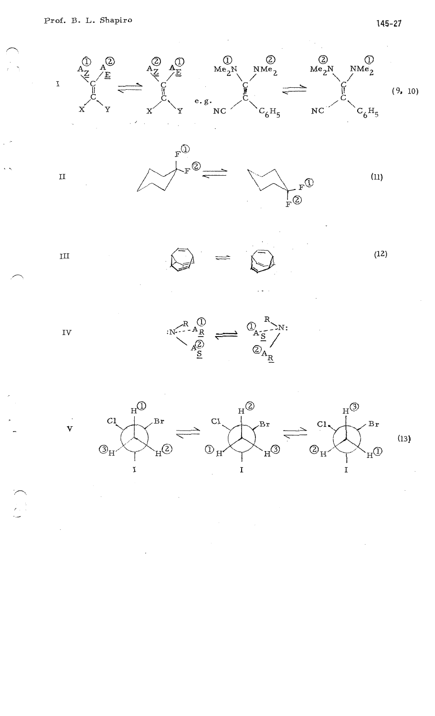Prof. B. L. Shapiro

 $\mathtt{I}$ 

 $\mathtt{II}$ 

 $\bigoplus_{Me_2N}$  $\overset{\textcircled{\tiny{2}}}{\underset{7}{\text{NMe}}_{2}}$  $\bigotimes$ <br>Me<sub>2</sub>N  $\begin{matrix} 1 \\ NMe_2 \end{matrix}$  $A^{\textcircled{\small 2}}$  $E$ င္ဖ ငှ<br>င  $(9, 10)$ e.g.  $C_6H_5$  $NC$  $NC$  $C_6H_5$ X Y Ý  $\mathbf{F}^{\textcircled{\tiny 1}}$  $\mathbb{F}^{\textcircled{\tiny \bf C}}$  $(11)$  $\mathbf{F}^{\textcircled{\text{I}}\xspace}$  $_{\rm F}^{|} \odot$ 



 ${\tt IV}$ 





 $145 - 27$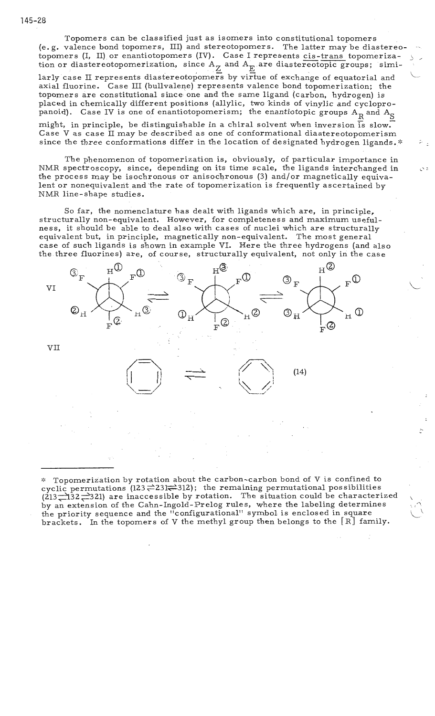Topomers can be classified just as isomers into constitutional topomers (e.g. valence bond topomers, III) and stereotopomers. The latter may be diastereotopomers (I, II) or enantiotopomers (IV). Case I represents cis-trans topomerization or diastereotopomerization, since  $A_{Z}$  and  $A_{E}$  are diastereotopic groups; similarly case II represents diastereotopomers by virtue of exchange of equatorial and

axial fluorine. Case III (bullvalene) represents valence bond topomerization; the topomers are constitutional since one and the same ligand (carbon, hydrogen) is placed in chemically different positions (allylic, two kinds of vinylic and cyclopropanoid). Case IV is one of enantiotopomerism; the enantiotopic groups  $A_R$  and  $A_S$ might, in principle, be distinguishable in a chiral solvent when inversion is slow.

Case V as case II may be described as one of conformational diastereotopomerism since the three conformations differ in the location of designated hydrogen ligands.\*

The phenomenon of topomerization is, obviously, of particular importance in NMR spectroscopy, since, depending on its time scale, the ligands interchanged in the process may be isochronous or anisochronous (3) and/or magnetically equivalent or nonequivalent and the rate of topomerization is frequently ascertained by NMR line-shape studies.

So far, the nomenclature has dealt with ligands which are, in principle, structurally non-equivalent. However, for completeness and maximum usefulness, it should be able to deal also with cases of nuclei which are structurally equivalent but, in principle, magnetically non-equivalent. The most general case of such ligands is shown in example VI. Here the three hydrogens (and also the three fluorines) are, of course, structurally equivalent, not only in the case



 $\sqrt{2}$  $\overline{\mathcal{F}}$ 

 $\overline{\phantom{a}}$ 

 $z_{\rm{1}}$ 

o z

<sup>&</sup>gt;!< Topomerization by rotation about the carbon-carbon bond of V is confined to cyclic permutations (123 $\rightleftharpoons$ 231 $\rightleftharpoons$ 312); the remaining permutational possibilities  $(213-132-321)$  are inaccessible by rotation. The situation could be characterized by an extension of the Cahn-Ingold-Prelog rules, where the labeling determines the priority sequence and the "configurational'' symbol is enclosed in square brackets. In the topomers of V the methyl group then belongs to the [R] family.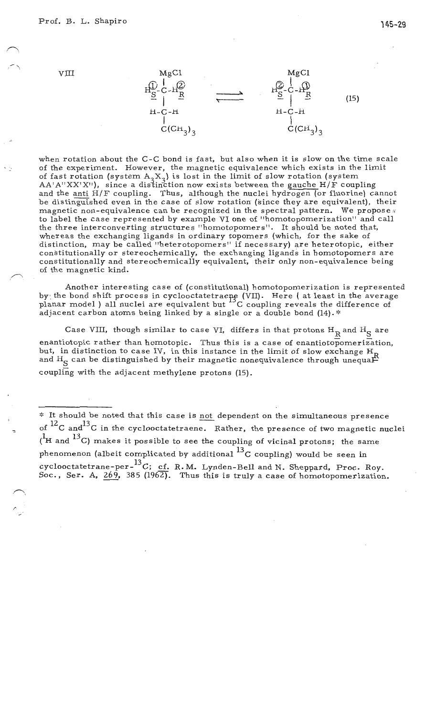

when rotation about the C-C bond is fast, but also when it is slow on the time scale of the experiment. However, the magnetic equivalence which exists in the limit of fast rotation (system  $A_3X_3$ ) is lost in the limit of slow rotation (system  $AA'A''XX'X''$ , since a distinction now exists between the gauche  $H/F$  coupling and the anti H/F coupling. Thus, although the nuclei hydrogen (or fluorine) cannot be distinguished even in the case of slow rotation (since they are equivalent), their magnetic non-equivalence can be recognized in the spectral pattern. We propose  $\pi$ to label the case represented by example VI one of "homotopomerization" and call the three interconverting structures "homotopomers". It should be noted that, whereas the exchanging ligands in ordinary topomers (which, for the sake of distinction, may be called "heterotopomers" if necessary) are heterotopic, either constitutionally or stereochemically, the exchanging ligands in bomotopomers are constitutionally and stereochemically equivalent, their only non-equivalence being of the magnetic kind.

Another interesting case of (constitutional) bomotopomerization is represented by the bond shift process in cyclooctatetraene (VII). Here ( at least in the average planar model ) all nuclei are equivalent but <sup>15</sup>C coupling reveals the difference of adjacent carbon atoms being linked by a single or a double bond  $(14)$ . \*

Case VIII, though similar to case VI, differs in that protons  $H_R$  and  $H_S$  are enantiotopic rather than homotopic. Thus this is a case of enantiotopomerization, but, in distinction to case IV, in this instance in the limit of slow exchange  $H_R$ and  $H_S$  can be distinguished by their magnetic nonequivalence through unequal coupling with the adjacent methylene protons (15).

~• It should be noted that this case is not dependent on the simultaneous presence of  ${}^{12}C$  and  ${}^{13}C$  in the cyclooctatetraene. Rather, the presence of two magnetic nuclei  $\mathcal{C}^1$ H and  $^{13}$ C) makes it possible to see the coupling of vicinal protons; the same phenomenon (albeit complicated by additional  $^{13}$ C coupling) would be seen in cyclooctatetrane-per- $^{13}$ C; cf. R.M. Lynden-Bell and N. Sheppard, Proc. Roy. Soc., Ser. A,  $269$ , 385 (1962). Thus this is truly a case of homotopomerization.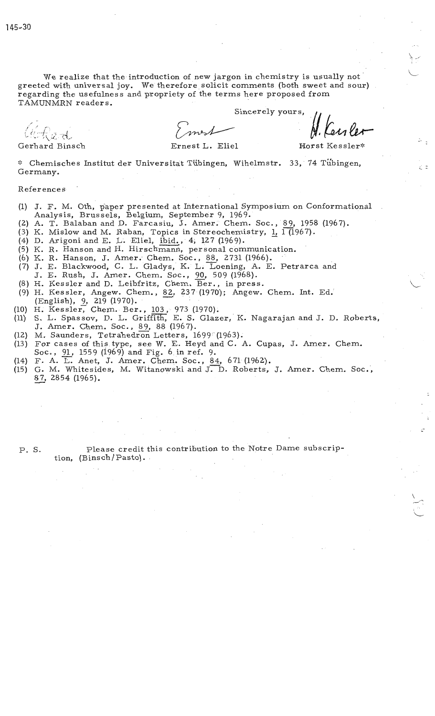We realize that the introduction of new jargon in chemistry is usually not greeted with universal joy. We therefore solicit comments (both sweet and sour) regarding the usefulness and propriety of the terms here proposed from TAMUNMRN readers.<br>
TAMUNMRN readers.<br>
Sincerely yours, TAMUNMRN readers.

*(1.t--{z\_.:/* d \_\_

 $\operatorname{\sf Gerhard}$  Binsch  $\operatorname{\sf Ernest}$  Let  $\operatorname{\sf Lie}1$  and  $\operatorname{\sf Eriel}$  and  $\operatorname{\sf Herst}$   $\operatorname{\sf Ker}1$ 

L

\* Chemisches Institut der Universitat Tübingen, Wihelmstr. 33, 74 Tubingen, Germany.

References-

- (1) J. F. M. Oth, paper presented at International Symposium on Conformational Analysis, Brussels, Belgium, September 9, 1969.
- (2) A. T. Balaban and D. Farcasiu, J. Amer. Chem. Soc., 89, 1958 (1967).
- (3) K. Mislow and M. Raban, Topics in Stereochemistry, 1,  $\overline{1(1967)}$ .
- (4) D. Arigoni and E. L. Eliel, ibid., 4, 127 (1969).
- (5) K. R. Hanson and H. Hirschmann, personal communication.
- (6) K. R. Hanson, J. Amer. Chem. Soc., 88, 2731 (1966).
- $(7)$  J. E. Blackwood, C. L. Gladys, K. L. Loening, A. E. Petrarca and
- J. E. Rush, J. Amer. Chem. Soc., 90, 509 (1968).
- (8) H. Kessler and D. Leibfritz, Chem. Ber., in press. ~
- (9) H. Kessler, Angew. Chem., 82, 237 (1970); Angew. Chem. Int. Ed. (English), 9, 219 (1970).
- (10) H. Kessler, Chem. Ber., 103, 973 (1970).
- (11) S. L. Spassov, D. L. Griffith, E. S. Glazer, K. Nagarajan and J. D. Roberts, J. Amer. Chem. Soc., 89, 88 (1967).
- (12) M. Saunders, Tetrahedron Letters,  $1699^\circ (1963)$ .
- (13) For cases of this type, see W. E. Heyd and C. A. Cupas, J. Amer. Chem. Soc.,  $91$ , 1559 (1969) and Fig. 6 in ref. 9.
- (14) F. A. L. Anet, J. Amer. Chem. Soc., 84, 671 (1962).
- (15) G. M. Whitesides, M. Witanowski and J:-D. Roberts, J. Amer. Chem. Soc., 87, 2854 (1965).

P. S. Please credit this contribution to the Notre Dame subscription, (Binsch/Pasto).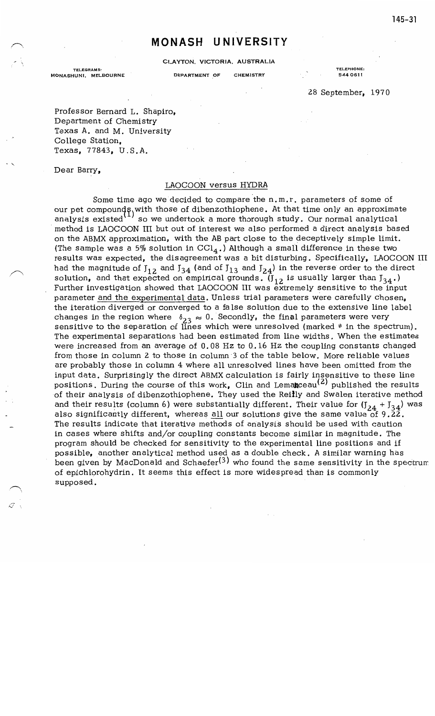# **MONASH UNIVERSITY**

**CLAYTON. VICTORIA. AUSTRALIA** 

TELEGRAMS:

 $/ \Delta$ 

MONASHUNI, MELBOURNE **DEPARTMENT OF CHEMISTRY** 

TELEPHONE: 544 0611

28 September, 197 0

Professor Bernard L. Shapiro, Department of Chemistry Texas A. and M. University College Station, Texas, 77843, U.S.A.

Dear Barry,

# LAOCOON versus HYDRA

Some time ago we decided to compare the n.m.r. parameters of some of our pet compounds, with those of dibenzothiophene. At that time only an approximate analysis existed  $\binom{11}{12}$  so we undertook a more thorough study. Our normal analytical · method is LAOCOON III but out of interest we also performed a direct analysis based on the ABMX approximation, with the AB part close to the deceptively simple limit. (The sample was a 5% solution in  $\text{CCl}_4$ .) Although a small difference in these two results was expected, the disagreement was a bit disturbing. Specifically, LAOCOON III had the magnitude of  $J_{12}$  and  $J_{34}$  (and of  $J_{13}$  and  $J_{24}$ ) in the reverse order to the direct solution, and that expected on empirical grounds.  $(j_{12}$  is usually larger than  $J_{34}$ .) Further investigation showed that LAOCOON III was extremely sensitive to the input parameter and the experimental data. Unless trial parameters were carefully chosen, the iteration diverged or converged to a false solution due to the extensive line label changes in the region where  $\delta_{2,3} \approx 0$ . Secondly, the final parameters were very sensitive to the separation of lines which were unresolved (marked \* in the spectrum). The experimental separations had been estimated from line widths. When the estimates were increased from an average of 0. 08 Hz to 0.16 Hz the coupling constants changed from those in column 2 to those in column 3 of the table below. More reliable values are probably those in column 4 where all unresolved lines have been omitted from the input data. Surprisingly the direct ABMX calculation is fairly insensitive to these line positions. During the course of this work, Clin and Lemanceau<sup>(2)</sup> published the results of their analysis of dibenzothiophene. They used the Reilly and Swalen iterative method and their results (column 6) were substantially different. Their value for  $(J_{24} + J_{34})$  was also significantly different, whereas all our solutions give the same value of  $9.22$ . The results indicate that iterative methods of analysis should be used with caution in cases where shifts and/or coupling constants become similar in magnitude. The program should be checked for sensitivity to the experimental line positions and if possible, another analytical method used as a doubie check. A similar warning has been given by MacDonald and Schaefer<sup>(3)</sup> who found the same sensitivity in the spectrum of epichlorohydrin. It seems this effect is more widespread than is commonly supposed.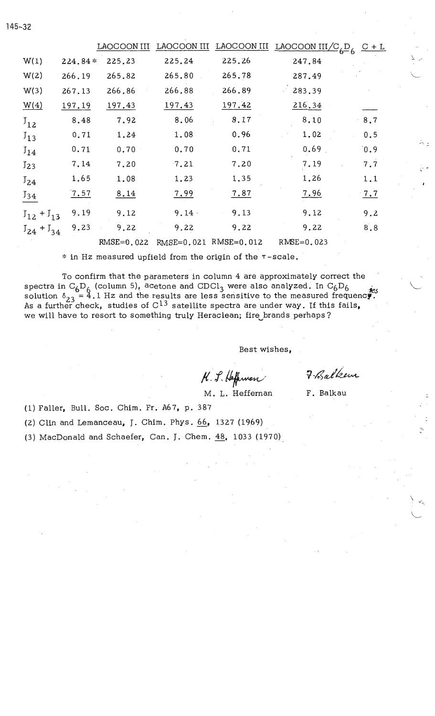| ł<br>45 |  |
|---------|--|
|---------|--|

|                   |         | LAOCOON III | LAOCOON III |        | LAOCOON III LAOCOON III/C <sub>6</sub> D <sub>6</sub> C + L |     |
|-------------------|---------|-------------|-------------|--------|-------------------------------------------------------------|-----|
| W(1)              | 224.84* | 225.23      | 225.24      | 225.26 | 247.84                                                      |     |
| W(2)              | 266.19  | 265.82      | 265.80      | 265.78 | 287.49                                                      |     |
| W(3)              | 267.13  | 266.86      | 266.88      | 266.89 | 283.39                                                      |     |
| W(4)              | 197.19  | 197.43      | 197.43      | 197.42 | 216.34                                                      |     |
| $J_{12}$          | 8.48    | 7.92        | 8.06        | 8.17   | 8.10                                                        | 8.7 |
| $J_{13}$          | 0.71    | 1.24        | 1.08        | 0.96   | 1.02                                                        | 0.5 |
| $J_{14}$          | 0.71    | 0.70        | 0.70        | 0.71   | 0.69                                                        | 0.9 |
| $J_{23}$          | 7.14    | 7.20        | 7.21        | 7.20   | 7.19                                                        | 7.7 |
| $J_{24}$          | 1.65    | 1.08        | 1.23        | 1.35   | 1.26                                                        | 1.1 |
| $J_{34}$          | 7.57    | 8.14        | 7.99        | 7.87   | 7.96                                                        | 7.7 |
| $J_{12} + J_{13}$ | 9.19    | 9.12        | 9.14        | 9.13   | 9.12                                                        | 9.2 |
| $J_{24} + J_{34}$ | 9.23    | 9.22        | 9.22        | 9.22   | 9.22                                                        | 8,8 |

RMSE=0. 022 RMSE=0. 021 RMSE=0. 012 RM3E=0. 023

 $*$  in Hz measured upfield from the origin of the  $\tau$ -scale.

To confirm that. the parameters in column 4 are approximately correct the spectra in  $C_6D_6$  (column 5), acetone and  $CDCI_3$  were also analyzed. In  $C_6D_6$  *ies* spectra in C<sub>6</sub>D<sub>6</sub> (column 5), acetone and CDCl<sub>3</sub> were also analyzed. In C<sub>6</sub>D<sub>6</sub><br>solution  $\delta_{23} = 4.1$  Hz and the results are less sensitive to the measured frequency. As a further check, studies of  $\mathbb{C}^{13}$  satellite spectra are under way. If this fails, we will have to resort to something truly Heraclean; fire brands perhaps?

Best wishes,

K. J. Heffinson

7. Balken

',\_ */* 

 $\cdot$  --

',,  $\setminus$ 

 $\backslash$  $\overleftarrow{\phantom{a}}$ 

M. L. Heffernan

(1) Faller, Bull. Soc. Chim. Fr. A67, p. 387

(2) Clin and Lemanceau, J. Chim. Phys. 66, 1327 (1969)

(3) MacDonald and Schaefer, Can. J. Chem. 48, 1033 (1970)

F. Balkau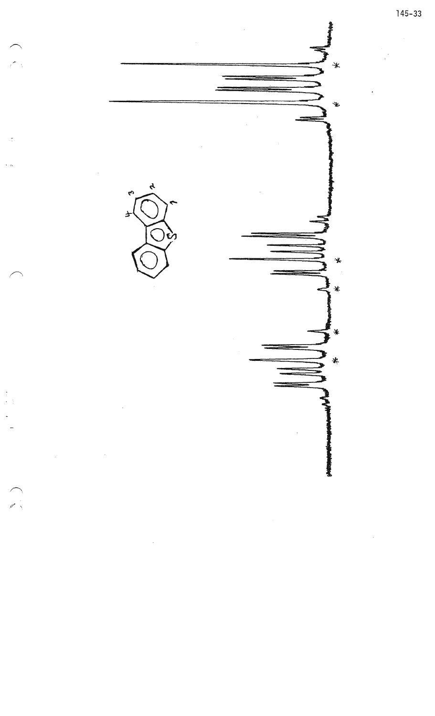

145-33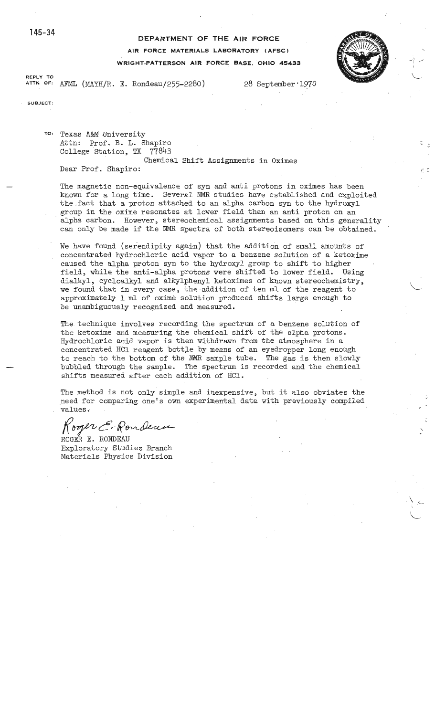#### **145-34**

#### **DEPARTMENT OF THE AIR FORCE**

**AIR FORCE MATERIALS LABORATORY (AFSC)** 

**WRIGHT-PATTERSON AIR FORCE BASE, OHIO 45433** 



**REPLY TO**  AFML (MAYH/R. E. Rondeau/255-2280) 28 September<sup>.</sup>1970

SUBJECT:

To, Texas A&M University Attn: Prof. B. L. Shapiro College Station, TX 77843 Chemical Shift Assignments in Oximes

Dear Prof. Shapiro:

The magnetic non-equivalence of syn and anti protons in oximes has been known for a long time. Several NMR studies have established and exploited the .fact that a proton attached to an alpha carbon syn to the hydroxyl group in the oxime resonates at lower field than an anti proton on an alpha carbon. However, stereochemical assignments based on this generality can only be made if the NMR spectra of both stereoisomers can be obtained.

We have found (serendipity again) that the addition of small amounts of concentrated hydrochloric acid vapor to a benzene solution of a ketoxime caused the alpha proton syn to the hydroxyl group to shift to higher field, while the anti-alpha protons were shifted to lower field. Using dialkyl, cycloalkyl and alkylphenyl ketoximes of known stereochemistry, we found that in every case, the addition of ten ml of the reagent to approximately 1 ml of oxime solution produced shifts large enough to be unambiguously recognized and measured.

The technique involves recording the spectrum of a benzene solution of the ketoxime and measuring the chemical shift of the alpha protons. Hydrochloric acid vapor is then withdrawn from the atmosphere in a concentrated HCl reagent bottie by means of an eyedropper long enough to reach to the bottom of the NMR sample tube. The gas is then slowly bubbled through the sample. The spectrum is recorded and the chemical shifts measured after each addition of HCl.

The method is not only simple and inexpensive, but it also obviates the need for comparing one's own experimental data with previously compiled values.

 $K$ oger E. Rondeau

ROGER E. RONDEAU Exploratory Studies Branch Materials Physics Division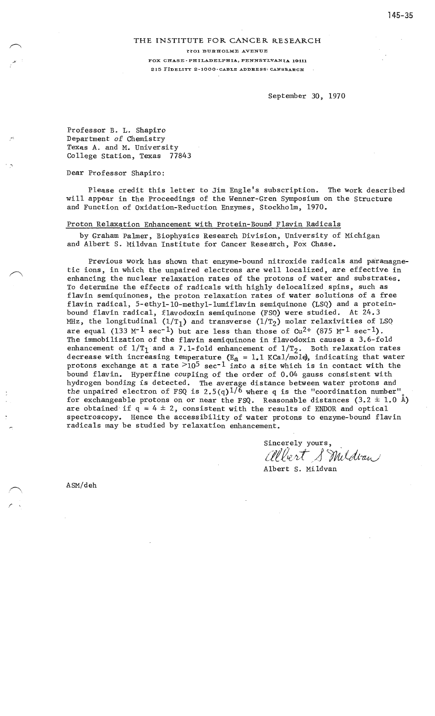#### THE INSTITUTE FOR CANCER RESEARCH

7701 BUBHOLME AVENUE

FOX CHASE·PHILADELPHIA, PENNSYLVANIA 19111

**215 FIDELITY 2-1000-C.ABLE ADDRESS : CANSEARCH** 

September 30, 1970

Professor B. L. Shapiro Department of Chemistry Texas A. and M. University College Station, Texas 77843

Dear Professor Shapiro:

Please credit this letter to Jim Engle's subscription. The work described will appear in the Proceedings of the Wenner-Gren Symposium on the Structure and Function of Oxidation-Reduction Enzymes, Stockholm, 1970.

#### Proton Relaxation Enhancement with Protein-Bound Flavin Radicals

by Graham Palmer, Biophysics Research Division, University of Michigan and Albert S. Mildvan Institute for Cancer Research, Fox Chase.

Previous work has shown that enzyme-bound nitroxide radicals and paramagnetic ions, in which the unpaired electrons are well localized, are effective in enhancing the nuclear relaxation rates of the protons of water and substrates. To determine the effects of radicals with highly delocalized spins, such as flavin semiquinones, the proton relaxation rates of water solutions of a free flavin radical, 5-ethyl-10-methyl-lumiflavin semiquinone (LSQ) and a proteinbound flavin radical, flavodoxin semiquinone (FSQ) were studied. At 24.3 MHz, the longitudinal ( $1/T_1$ ) and transverse ( $1/T_2$ ) molar relaxivities of LSQ are equal (133 M<sup>-1</sup> sec<sup>-1</sup>) but are less than those of  $Cu^{2+}$  (875 M<sup>-1</sup> sec<sup>-1</sup>). The immobilization of the flavin semiquinone in flavodoxin causes a 3.6-fold enhancement of  $1/T_1$  and a 7.1-fold enhancement of  $1/T_2$ . Both relaxation rates decrease with increasing temperature  $(E_a = 1.1$  KCal/mole), indicating that water protons exchange at a rate  $>10^5$  sec<sup>-1</sup> into a site which is in contact with the bound flavin. Hyperfine coupling of the order of 0.04 gauss consistent with hydrogen bonding is detected. The average distance between water protons and the unpaired electron of FSQ is 2.5(q)<sup>1/6</sup> where q is the "coordination number" for exchangeable protons on or near the FSQ. Reasonable distances  $(3.2 \pm 1.0 \text{ A})$ are obtained if  $q = 4 \pm 2$ , consistent with the results of ENDOR and optical spectroscopy. Hence the accessibility of water protons to enzyme-bound flavin radicals may be studied by relaxation enhancement.

Sincerely yours, *(i!f* I!~ *.i:r .* J *~ ,,&.ic,utJ'*  Albert S. Mildvan

ASM/deh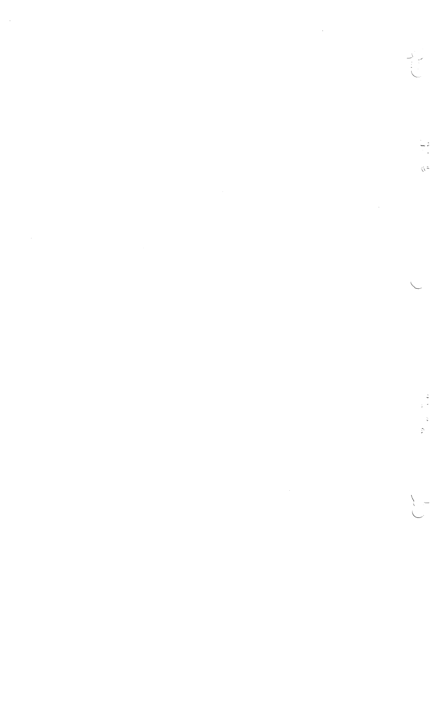$\label{eq:2.1} \frac{1}{\sqrt{2}}\left(\frac{1}{\sqrt{2}}\right)^{2} \left(\frac{1}{\sqrt{2}}\right)^{2} \left(\frac{1}{\sqrt{2}}\right)^{2} \left(\frac{1}{\sqrt{2}}\right)^{2} \left(\frac{1}{\sqrt{2}}\right)^{2} \left(\frac{1}{\sqrt{2}}\right)^{2} \left(\frac{1}{\sqrt{2}}\right)^{2} \left(\frac{1}{\sqrt{2}}\right)^{2} \left(\frac{1}{\sqrt{2}}\right)^{2} \left(\frac{1}{\sqrt{2}}\right)^{2} \left(\frac{1}{\sqrt{2}}\right)^{2} \left(\$  $\label{eq:2.1} \frac{1}{\sqrt{2}}\int_{\mathbb{R}^3}\frac{1}{\sqrt{2}}\left(\frac{1}{\sqrt{2}}\right)^2\frac{1}{\sqrt{2}}\left(\frac{1}{\sqrt{2}}\right)^2\frac{1}{\sqrt{2}}\left(\frac{1}{\sqrt{2}}\right)^2\frac{1}{\sqrt{2}}\left(\frac{1}{\sqrt{2}}\right)^2.$  $\label{eq:2} \frac{1}{2} \int_{\mathbb{R}^3} \frac{1}{\sqrt{2}} \, \mathrm{d} \mu \, \mathrm{d} \mu \, \mathrm{d} \mu \, \mathrm{d} \mu \, \mathrm{d} \mu \, \mathrm{d} \mu \, \mathrm{d} \mu \, \mathrm{d} \mu \, \mathrm{d} \mu \, \mathrm{d} \mu \, \mathrm{d} \mu \, \mathrm{d} \mu \, \mathrm{d} \mu \, \mathrm{d} \mu \, \mathrm{d} \mu \, \mathrm{d} \mu \, \mathrm{d} \mu \, \mathrm{d} \mu \, \mathrm{d} \mu \, \mathrm{d} \mu \, \mathrm$  $\label{eq:2.1} \frac{d\mu}{d\mu} = \frac{d\mu}{d\mu} \frac{d\mu}{d\mu}.$  $\hat{\mathcal{D}}^{\pm}$ 

 $\sim$ 

 $\frac{1}{\sqrt{2}}\int_{-1}^{1}dx\,dx$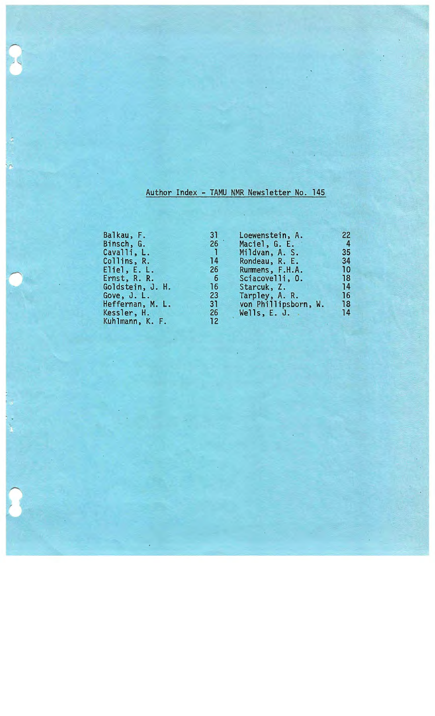Author Index - TAMU NMR Newsletter No. 145

| Balkau, F.       | 31              | Loewenstein, A.      | 22             |
|------------------|-----------------|----------------------|----------------|
| Binsch, G.       | 26              | Maciel, G. E.        | $\overline{4}$ |
| Cavalli, L.      | ា               | Mildvan, A. S.       | 35             |
| Collins, R.      | 14              | Rondeau, R. E.       | 34             |
| Eliel, E. L.     | 26              | Rummens, F.H.A.      | 10             |
| Ernst, R. R.     | 6               | Sciacovelli, O.      | 18             |
| Goldstein, J. H. | 16              | Starcuk, Z.          | 14             |
| Gove, J. L.      | 23 <sub>2</sub> | Tarpley, A. R.       | 16             |
| Heffernan, M. L. | 31              | von Phillipsborn, W. | 18             |
| Kessler, H.      | 26              | Well 1s, E. J.       | 14             |
| Kuhlmann, K. F.  | <b>12</b>       |                      |                |
|                  |                 |                      |                |

*I* 

٦

R<br>C

ŝ